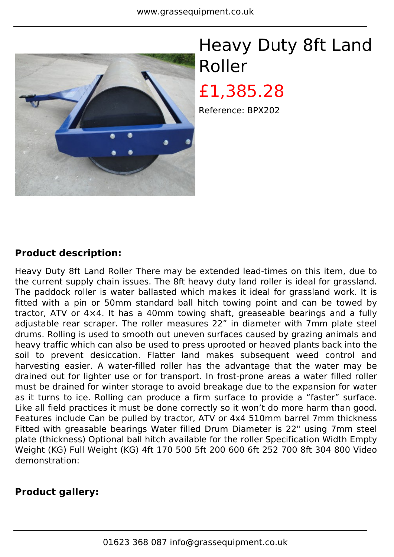

## Heavy Duty 8ft Land Roller £1,385.28

Reference: BPX202

## **Product description:**

Heavy Duty 8ft Land Roller There may be extended lead-times on this item, due to the current supply chain issues. The 8ft heavy duty land roller is ideal for grassland. The paddock roller is water ballasted which makes it ideal for grassland work. It is fitted with a pin or 50mm standard ball hitch towing point and can be towed by tractor, ATV or 4×4. It has a 40mm towing shaft, greaseable bearings and a fully adjustable rear scraper. The roller measures 22" in diameter with 7mm plate steel drums. Rolling is used to smooth out uneven surfaces caused by grazing animals and heavy traffic which can also be used to press uprooted or heaved plants back into the soil to prevent desiccation. Flatter land makes subsequent weed control and harvesting easier. A water-filled roller has the advantage that the water may be drained out for lighter use or for transport. In frost-prone areas a water filled roller must be drained for winter storage to avoid breakage due to the expansion for water as it turns to ice. Rolling can produce a firm surface to provide a "faster" surface. Like all field practices it must be done correctly so it won't do more harm than good. Features include Can be pulled by tractor, ATV or 4x4 510mm barrel 7mm thickness Fitted with greasable bearings Water filled Drum Diameter is 22" using 7mm steel plate (thickness) Optional ball hitch available for the roller Specification Width Empty Weight (KG) Full Weight (KG) 4ft 170 500 5ft 200 600 6ft 252 700 8ft 304 800 Video demonstration:

## **Product gallery:**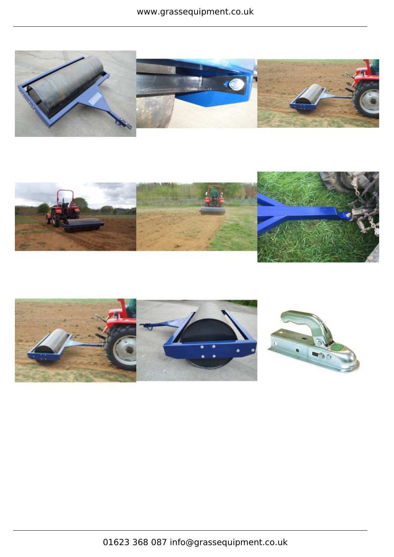